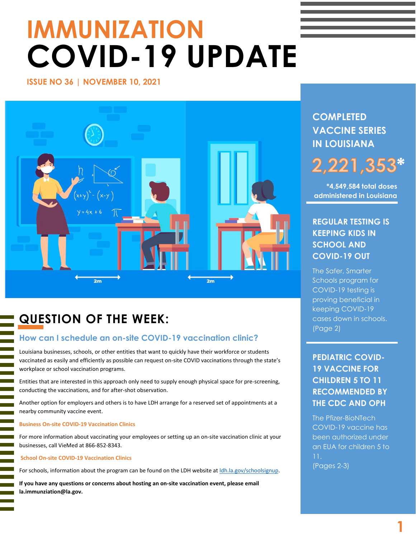# **IMMUNIZATION COVID-19 UPDATE**

#### **ISSUE NO 36 | NOVEMBER 10, 2021**



# **QUESTION OF THE WEEK:**

#### **How can I schedule an on-site COVID-19 vaccination clinic?**

Louisiana businesses, schools, or other entities that want to quickly have their workforce or students vaccinated as easily and efficiently as possible can request on-site COVID vaccinations through the state's workplace or school vaccination programs.

Entities that are interested in this approach only need to supply enough physical space for pre-screening, conducting the vaccinations, and for after-shot observation.

Another option for employers and others is to have LDH arrange for a reserved set of appointments at a nearby community vaccine event.

#### **Business On-site COVID-19 Vaccination Clinics**

For more information about vaccinating your employees or setting up an on-site vaccination clinic at your businesses, call VieMed at 866-852-8343.

#### **School On-site COVID-19 Vaccination Clinics**

l

For schools, information about the program can be found on the LDH website at **Idh.la.gov/schoolsignup**.

**If you have any questions or concerns about hosting an on-site vaccination event, please email la.immunziation@la.gov.**

# **COMPLETED VACCINE SERIES IN LOUISIANA**

## **\*** 2,221,353

**\*4,549,584 total doses administered in Louisiana**

# **REGULAR TESTING IS KEEPING KIDS IN SCHOOL AND COVID-19 OUT**

The Safer, Smarter Schools program for COVID-19 testing is proving beneficial in keeping COVID-19 cases down in schools. (Page 2)

# **PEDIATRIC COVID-19 VACCINE FOR CHILDREN 5 TO 11 RECOMMENDED BY THE CDC AND OPH**

The Pfizer-BioNTech COVID-19 vaccine has been authorized under an EUA for children 5 to (Pages 2-3)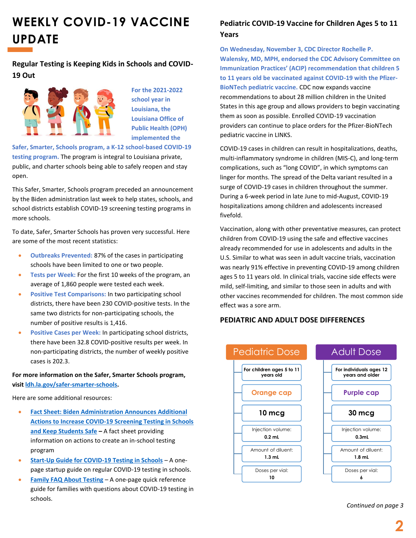# **WEEKLY COVID-19 VACCINE UPDATE**

**Regular Testing is Keeping Kids in Schools and COVID-19 Out**



**For the 2021-2022 school year in Louisiana, the Louisiana Office of Public Health (OPH) implemented the** 

**Safer, Smarter, Schools program, a K-12 school-based COVID-19 testing program.** The program is integral to Louisiana private, public, and charter schools being able to safely reopen and stay open.

This Safer, Smarter, Schools program preceded an announcement by the Biden administration last week to help states, schools, and school districts establish COVID-19 screening testing programs in more schools.

To date, Safer, Smarter Schools has proven very successful. Here are some of the most recent statistics:

- **Outbreaks Prevented:** 87% of the cases in participating schools have been limited to one or two people.
- **Tests per Week:** For the first 10 weeks of the program, an average of 1,860 people were tested each week.
- **Positive Test Comparisons:** In two participating school districts, there have been 230 COVID-positive tests. In the same two districts for non-participating schools, the number of positive results is 1,416.
- **Positive Cases per Week:** In participating school districts, there have been 32.8 COVID-positive results per week. In non-participating districts, the number of weekly positive cases is 202.3.

**For more information on the Safer, Smarter Schools program, visi[t ldh.la.gov/safer-smarter-schools.](https://ldh.la.gov/safer-smarter-schools)**

Here are some additional resources:

- **[Fact Sheet: Biden Administration Announces Additional](https://www.whitehouse.gov/briefing-room/statements-releases/2021/10/29/fact-sheet-biden-administration-announces-additional-actions-to-increase-covid-19-screening-testing-in-schools-and-keep-students-safe/)  [Actions to Increase COVID-19 Screening Testing in Schools](https://www.whitehouse.gov/briefing-room/statements-releases/2021/10/29/fact-sheet-biden-administration-announces-additional-actions-to-increase-covid-19-screening-testing-in-schools-and-keep-students-safe/)  [and Keep Students Safe](https://www.whitehouse.gov/briefing-room/statements-releases/2021/10/29/fact-sheet-biden-administration-announces-additional-actions-to-increase-covid-19-screening-testing-in-schools-and-keep-students-safe/) –** A fact sheet providing information on actions to create an in-school testing program
- **[Start-Up Guide for COVID-19 Testing in Schools](https://www.rockefellerfoundation.org/wp-content/uploads/2021/10/Start-Up-Guide-for-Testing-in-Schools-1-Pager.pdf)** A onepage startup guide on regular COVID-19 testing in schools.
- **Family FAQ [About Testing](https://www.rockefellerfoundation.org/wp-content/uploads/2021/10/Family-FAQs-about-Testing-2-pager.pdf)** A one-page quick reference guide for families with questions about COVID-19 testing in schools.

## **Pediatric COVID-19 Vaccine for Children Ages 5 to 11 Years**

**On Wednesday, November 3, CDC Director Rochelle P. Walensky, MD, MPH, endorsed the CDC Advisory Committee on Immunization Practices' (ACIP) recommendation that children 5 to 11 years old be vaccinated against COVID-19 with the Pfizer-BioNTech pediatric vaccine.** CDC now expands vaccine recommendations to about 28 million children in the United States in this age group and allows providers to begin vaccinating them as soon as possible. Enrolled COVID-19 vaccination providers can continue to place orders for the Pfizer-BioNTech pediatric vaccine in LINKS.

COVID-19 cases in children can result in hospitalizations, deaths, multi-inflammatory syndrome in children (MIS-C), and long-term complications, such as "long COVID", in which symptoms can linger for months. The spread of the Delta variant resulted in a surge of COVID-19 cases in children throughout the summer. During a 6-week period in late June to mid-August, COVID-19 hospitalizations among children and adolescents increased fivefold.

Vaccination, along with other preventative measures, can protect children from COVID-19 using the safe and effective vaccines already recommended for use in adolescents and adults in the U.S. Similar to what was seen in adult vaccine trials, vaccination was nearly 91% effective in preventing COVID-19 among children ages 5 to 11 years old. In clinical trials, vaccine side effects were mild, self-limiting, and similar to those seen in adults and with other vaccines recommended for children. The most common side effect was a sore arm.

#### **PEDIATRIC AND ADULT DOSE DIFFERENCES**



*Continued on page 3*